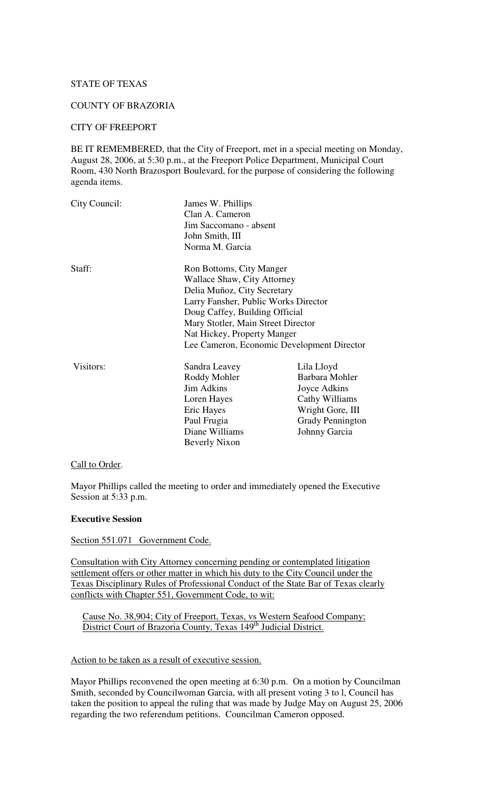# STATE OF TEXAS

## COUNTY OF BRAZORIA

## CITY OF FREEPORT

BE IT REMEMBERED, that the City of Freeport, met in a special meeting on Monday, August 28, 2006, at 5:30 p.m., at the Freeport Police Department, Municipal Court Room, 430 North Brazosport Boulevard, for the purpose of considering the following agenda items.

| City Council:                              | James W. Phillips<br>Clan A. Cameron<br>Jim Saccomano - absent<br>John Smith, III<br>Norma M. Garcia |                         |        |                             |  |
|--------------------------------------------|------------------------------------------------------------------------------------------------------|-------------------------|--------|-----------------------------|--|
|                                            |                                                                                                      |                         |        |                             |  |
|                                            |                                                                                                      |                         | Staff: | Ron Bottoms, City Manger    |  |
|                                            |                                                                                                      |                         |        | Wallace Shaw, City Attorney |  |
|                                            |                                                                                                      |                         |        | Delia Muñoz, City Secretary |  |
| Larry Fansher, Public Works Director       |                                                                                                      |                         |        |                             |  |
| Doug Caffey, Building Official             |                                                                                                      |                         |        |                             |  |
| Mary Stotler, Main Street Director         |                                                                                                      |                         |        |                             |  |
| Nat Hickey, Property Manger                |                                                                                                      |                         |        |                             |  |
| Lee Cameron, Economic Development Director |                                                                                                      |                         |        |                             |  |
| Visitors:                                  | Sandra Leavey                                                                                        | Lila Lloyd              |        |                             |  |
|                                            | Roddy Mohler                                                                                         | Barbara Mohler          |        |                             |  |
|                                            | <b>Jim Adkins</b>                                                                                    | Joyce Adkins            |        |                             |  |
|                                            | Loren Hayes                                                                                          | Cathy Williams          |        |                             |  |
|                                            | Eric Hayes                                                                                           | Wright Gore, III        |        |                             |  |
|                                            | Paul Frugia                                                                                          | <b>Grady Pennington</b> |        |                             |  |
|                                            | Diane Williams                                                                                       | Johnny Garcia           |        |                             |  |
|                                            | <b>Beverly Nixon</b>                                                                                 |                         |        |                             |  |

## Call to Order.

Mayor Phillips called the meeting to order and immediately opened the Executive Session at 5:33 p.m.

## **Executive Session**

Section 551.071 Government Code.

Consultation with City Attorney concerning pending or contemplated litigation settlement offers or other matter in which his duty to the City Council under the Texas Disciplinary Rules of Professional Conduct of the State Bar of Texas clearly conflicts with Chapter 551, Government Code, to wit:

Cause No. 38,904; City of Freeport, Texas, vs Western Seafood Company; District Court of Brazoria County, Texas 149<sup>th</sup> Judicial District.

# Action to be taken as a result of executive session.

Mayor Phillips reconvened the open meeting at 6:30 p.m. On a motion by Councilman Smith, seconded by Councilwoman Garcia, with all present voting 3 to l, Council has taken the position to appeal the ruling that was made by Judge May on August 25, 2006 regarding the two referendum petitions. Councilman Cameron opposed.